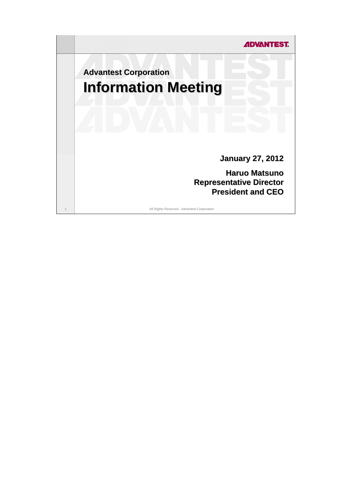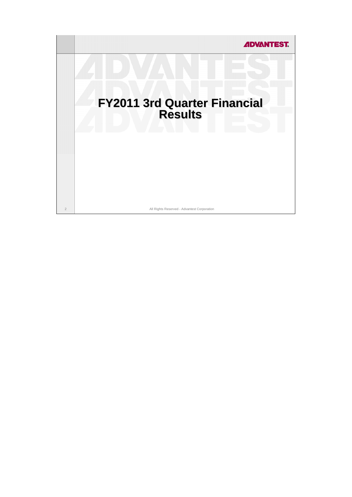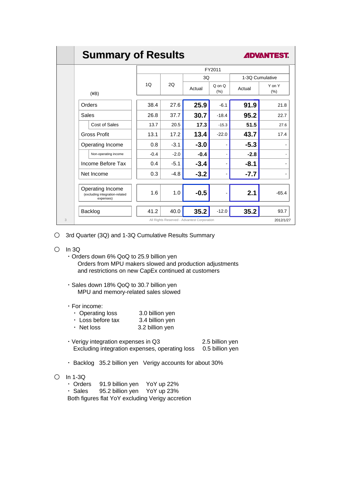# **Summary of Results Summary of Results**

**ADVANTEST** 

|   |                                                                 | FY2011 |        |        |                   |        |                              |
|---|-----------------------------------------------------------------|--------|--------|--------|-------------------|--------|------------------------------|
|   |                                                                 |        |        | 3Q     |                   |        | 1-3Q Cumulative              |
|   | $(\angle B)$                                                    | 1Q     | 20     | Actual | $Q$ on $Q$<br>(%) | Actual | Y on Y<br>(%)                |
|   | Orders                                                          | 38.4   | 27.6   | 25.9   | $-6.1$            | 91.9   | 21.8                         |
|   | Sales                                                           | 26.8   | 37.7   | 30.7   | $-18.4$           | 95.2   | 22.7                         |
|   | Cost of Sales                                                   | 13.7   | 20.5   | 17.3   | $-15.3$           | 51.5   | 27.6                         |
|   | <b>Gross Profit</b>                                             | 13.1   | 17.2   | 13.4   | $-22.0$           | 43.7   | 17.4                         |
|   | Operating Income                                                | 0.8    | $-3.1$ | $-3.0$ |                   | $-5.3$ |                              |
|   | Non-operating income                                            | $-0.4$ | $-2.0$ | $-0.4$ |                   | $-2.8$ |                              |
|   | Income Before Tax                                               | 0.4    | $-5.1$ | $-3.4$ |                   | $-8.1$ | $\qquad \qquad \blacksquare$ |
|   | Net Income                                                      | 0.3    | $-4.8$ | $-3.2$ | ٠                 | $-7.7$ | ۰                            |
|   | Operating Income<br>(excluding integration-related<br>expenses) | 1.6    | 1.0    | $-0.5$ |                   | 2.1    | $-65.4$                      |
|   | Backlog                                                         | 41.2   | 40.0   | 35.2   | $-12.0$           | 35.2   | 93.7                         |
| 3 | All Rights Reserved - Advantest Corporation<br>2012/1/27        |        |        |        |                   |        |                              |

○ 3rd Quarter (3Q) and 1-3Q Cumulative Results Summary

- In 3Q
	- ・Orders down 6% QoQ to 25.9 billion yen Orders from MPU makers slowed and production adjustments and restrictions on new CapEx continued at customers
	- ・Sales down 18% QoQ to 30.7 billion yen MPU and memory-related sales slowed

#### ・For income:

|  | $\cdot$ Operating loss |  | 3.0 billion yen |
|--|------------------------|--|-----------------|
|--|------------------------|--|-----------------|

- ・ Loss before tax 3.4 billion yen
- ・ Net loss 3.2 billion yen
- ・Verigy integration expenses in Q3 2.5 billion yen Excluding integration expenses, operating loss 0.5 billion yen
- ・ Backlog 35.2 billion yen Verigy accounts for about 30%
- In 1-3Q
	- ・ Orders 91.9 billion yen YoY up 22%
	- ・ Sales 95.2 billion yen YoY up 23%
	- Both figures flat YoY excluding Verigy accretion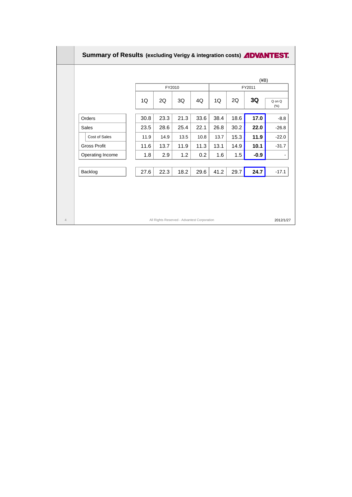| FY2010<br>2Q<br>1Q<br>2Q<br>3Q<br>1Q<br>4Q<br>18.6<br>30.8<br>23.3<br>21.3<br>33.6<br>38.4<br>Orders | FY2011<br>3Q  | Q on Q  |
|------------------------------------------------------------------------------------------------------|---------------|---------|
|                                                                                                      |               |         |
|                                                                                                      |               | (%)     |
|                                                                                                      | 17.0          | $-8.8$  |
| 28.6<br>25.4<br>22.1<br>26.8<br>30.2<br>23.5<br><b>Sales</b>                                         | 22.0          | $-26.8$ |
| 15.3<br>11.9<br>14.9<br>13.5<br>10.8<br>13.7<br>Cost of Sales                                        | 11.9          | $-22.0$ |
| 11.6<br>13.7<br>11.9<br>11.3<br>13.1<br>14.9<br><b>Gross Profit</b>                                  | 10.1          | $-31.7$ |
| 1.8<br>2.9<br>1.2<br>0.2<br>1.6<br>Operating Income                                                  | 1.5<br>$-0.9$ |         |
| 29.7<br>27.6<br>22.3<br>18.2<br>29.6<br>41.2<br>Backlog                                              | 24.7          | $-17.1$ |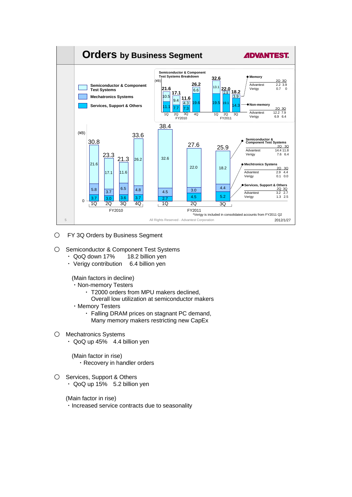

- O FY 3Q Orders by Business Segment
- Semiconductor & Component Test Systems
	- ・ QoQ down 17% 18.2 billion yen
	- ・ Verigy contribution 6.4 billion yen

(Main factors in decline)

- ・Non-memory Testers
	- ・ T2000 orders from MPU makers declined,
	- Overall low utilization at semiconductor makers
- ・Memory Testers
	- ・ Falling DRAM prices on stagnant PC demand, Many memory makers restricting new CapEx
- Mechatronics Systems
	- ・ QoQ up 45% 4.4 billion yen

(Main factor in rise) ・Recovery in handler orders

O Services, Support & Others ・ QoQ up 15% 5.2 billion yen

(Main factor in rise)

・Increased service contracts due to seasonality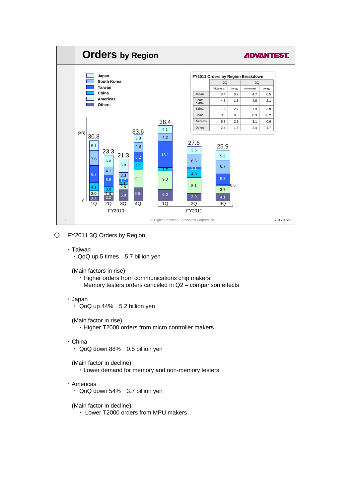

- FY2011 3Q Orders by Region
	- ・Taiwan

 $\cdot$  QoQ up 5 times 5.7 billion yen

(Main factors in rise)

・Higher orders from communications chip makers, Memory testers orders canceled in Q2 – comparison effects

・Japan

・ QoQ up 44% 5.2 billion yen

(Main factor in rise)

・Higher T2000 orders from micro controller makers

- ・China
	- ・ QoQ down 88% 0.5 billion yen

(Main factor in decline) ・Lower demand for memory and non-memory testers

- ・Americas
	- ・ QoQ down 54% 3.7 billion yen

(Main factor in decline)

・ Lower T2000 orders from MPU makers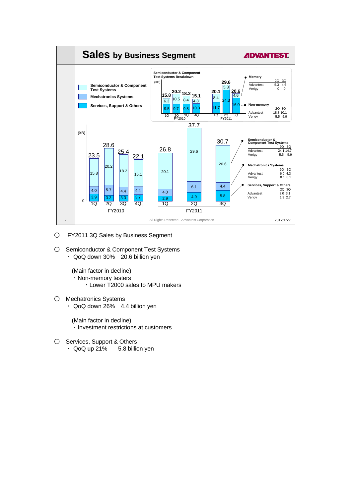

- FY2011 3Q Sales by Business Segment
- Semiconductor & Component Test Systems ・ QoQ down 30% 20.6 billion yen

(Main factor in decline) ・Non-memory testers ・Lower T2000 sales to MPU makers

○ Mechatronics Systems ・ QoQ down 26% 4.4 billion yen

> (Main factor in decline) ・Investment restrictions at customers

O Services, Support & Others ・ QoQ up 21% 5.8 billion yen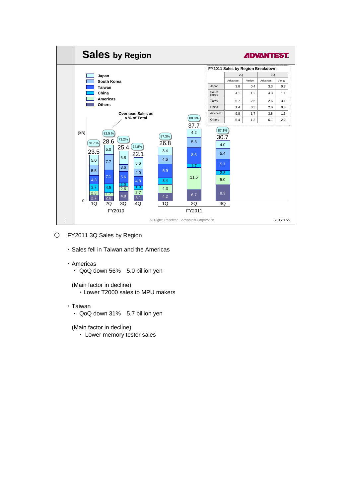

- O FY2011 3Q Sales by Region
	- ・Sales fell in Taiwan and the Americas
	- ・Americas
		- ・ QoQ down 56% 5.0 billion yen
		- (Main factor in decline)
			- ・Lower T2000 sales to MPU makers
	- ・Taiwan
		- ・ QoQ down 31% 5.7 billion yen

(Main factor in decline)

・ Lower memory tester sales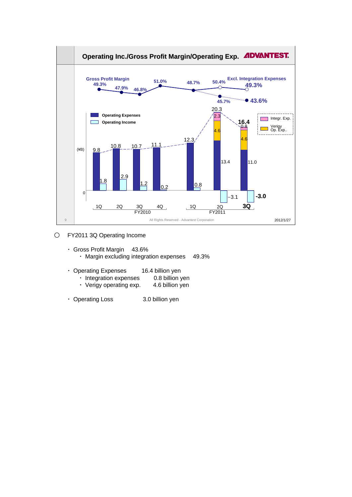

- FY2011 3Q Operating Income
	- ・ Gross Profit Margin 43.6% ・ Margin excluding integration expenses 49.3%
	- ・ Operating Expenses 16.4 billion yen
		- ・ Integration expenses 0.8 billion yen
		- ・ Verigy operating exp. 4.6 billion yen
	- ・ Operating Loss 3.0 billion yen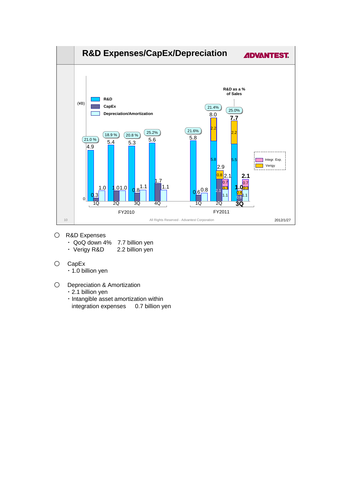

- R&D Expenses
	- ・ QoQ down 4% 7.7 billion yen
	- ・ Verigy R&D 2.2 billion yen
- CapEx
	- ・1.0 billion yen
- O Depreciation & Amortization
	- ・2.1 billion yen
	- ・Intangible asset amortization within integration expenses 0.7 billion yen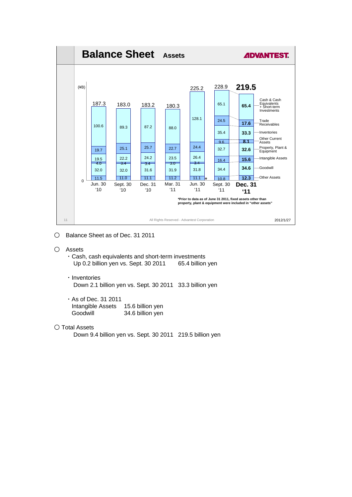

- Balance Sheet as of Dec. 31 2011
- Assets
	- ・Cash, cash equivalents and short-term investments Up 0.2 billion yen vs. Sept. 30 2011 65.4 billion yen
	- ・Inventories Down 2.1 billion yen vs. Sept. 30 2011 33.3 billion yen
	- ・As of Dec. 31 2011 Intangible Assets 15.6 billion yen Goodwill 34.6 billion yen
- Total Assets

Down 9.4 billion yen vs. Sept. 30 2011 219.5 billion yen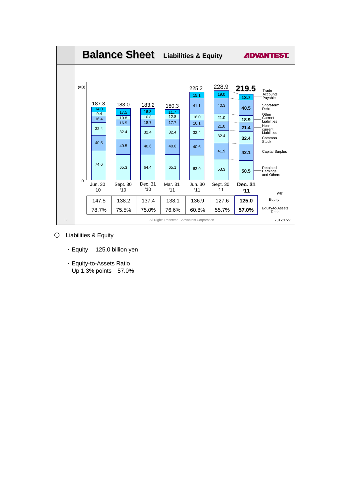

- Liabilities & Equity
	- ・Equity 125.0 billion yen
	- ・Equity-to-Assets Ratio Up 1.3% points 57.0%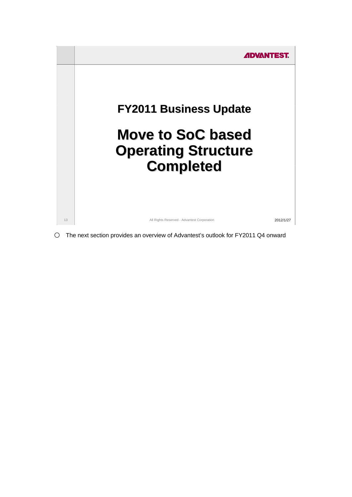

○ The next section provides an overview of Advantest's outlook for FY2011 Q4 onward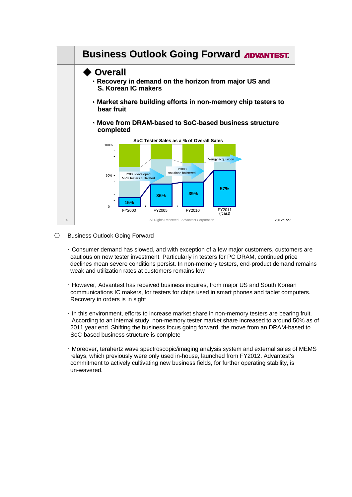

## O Business Outlook Going Forward

- ・Consumer demand has slowed, and with exception of a few major customers, customers are cautious on new tester investment. Particularly in testers for PC DRAM, continued price declines mean severe conditions persist. In non-memory testers, end-product demand remains weak and utilization rates at customers remains low
- ・However, Advantest has received business inquires, from major US and South Korean communications IC makers, for testers for chips used in smart phones and tablet computers. Recovery in orders is in sight
- ・In this environment, efforts to increase market share in non-memory testers are bearing fruit. According to an internal study, non-memory tester market share increased to around 50% as of 2011 year end. Shifting the business focus going forward, the move from an DRAM-based to SoC-based business structure is complete
- ・Moreover, terahertz wave spectroscopic/imaging analysis system and external sales of MEMS relays, which previously were only used in-house, launched from FY2012. Advantest's commitment to actively cultivating new business fields, for further operating stability, is un-wavered.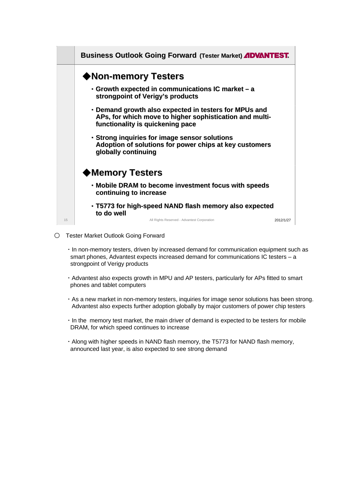

○ Tester Market Outlook Going Forward

- ・In non-memory testers, driven by increased demand for communication equipment such as smart phones, Advantest expects increased demand for communications IC testers – a strongpoint of Verigy products
- ・Advantest also expects growth in MPU and AP testers, particularly for APs fitted to smart phones and tablet computers
- ・As a new market in non-memory testers, inquiries for image senor solutions has been strong. Advantest also expects further adoption globally by major customers of power chip testers
- ・In the memory test market, the main driver of demand is expected to be testers for mobile DRAM, for which speed continues to increase
- ・Along with higher speeds in NAND flash memory, the T5773 for NAND flash memory, announced last year, is also expected to see strong demand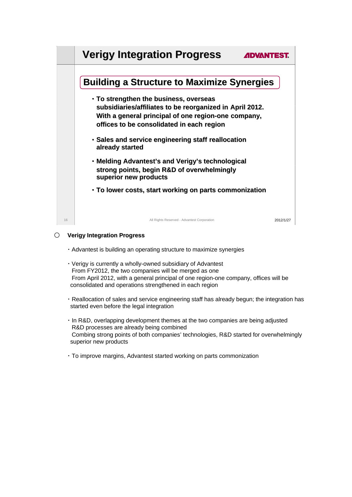

# ○ **Verigy Integration Progress**

- ・Advantest is building an operating structure to maximize synergies
- ・Verigy is currently a wholly-owned subsidiary of Advantest From FY2012, the two companies will be merged as one From April 2012, with a general principal of one region-one company, offices will be consolidated and operations strengthened in each region
- ・Reallocation of sales and service engineering staff has already begun; the integration has started even before the legal integration
- ・In R&D, overlapping development themes at the two companies are being adjusted R&D processes are already being combined Combing strong points of both companies' technologies, R&D started for overwhelmingly superior new products
- ・To improve margins, Advantest started working on parts commonization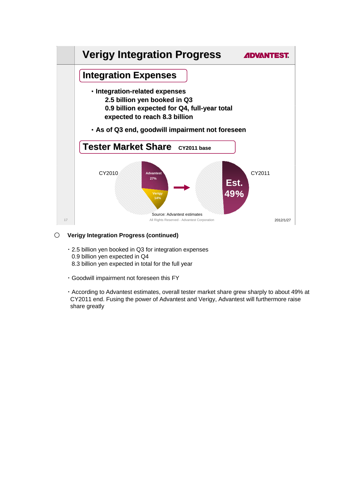

# ○ **Verigy Integration Progress (continued)**

- ・2.5 billion yen booked in Q3 for integration expenses 0.9 billion yen expected in Q4 8.3 billion yen expected in total for the full year
- ・Goodwill impairment not foreseen this FY
- ・According to Advantest estimates, overall tester market share grew sharply to about 49% at CY2011 end. Fusing the power of Advantest and Verigy, Advantest will furthermore raise share greatly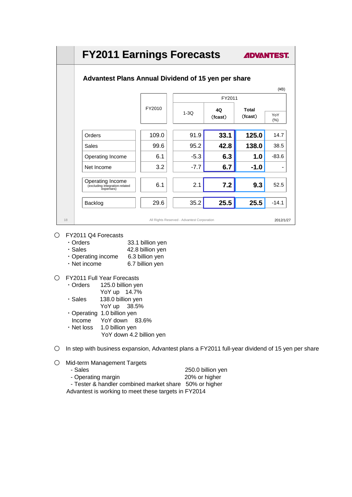|                                                                 | <b>FY2011 Earnings Forecasts</b>                           |                                             |         | <b>ADVANTEST.</b> |           |
|-----------------------------------------------------------------|------------------------------------------------------------|---------------------------------------------|---------|-------------------|-----------|
|                                                                 | <b>Advantest Plans Annual Dividend of 15 yen per share</b> |                                             |         |                   |           |
|                                                                 |                                                            |                                             |         |                   | (4B)      |
|                                                                 |                                                            |                                             | FY2011  |                   |           |
|                                                                 | FY2010                                                     | $1-3Q$                                      | 40      | <b>Total</b>      | YoY       |
|                                                                 |                                                            |                                             | (fcast) | (fcast)           | (% )      |
| Orders                                                          | 109.0                                                      | 91.9                                        | 33.1    | 125.0             | 14.7      |
| Sales                                                           | 99.6                                                       | 95.2                                        | 42.8    | 138.0             | 38.5      |
| Operating Income                                                | 6.1                                                        | $-5.3$                                      | 6.3     | 1.0               | $-83.6$   |
| Net Income                                                      | 3.2                                                        | $-7.7$                                      | 6.7     | $-1.0$            |           |
|                                                                 |                                                            |                                             |         |                   |           |
| Operating Income<br>(excluding integration-related<br>expenses) | 6.1                                                        | 2.1                                         | 7.2     | 9.3               | 52.5      |
| Backlog                                                         | 29.6                                                       | 35.2                                        | 25.5    | 25.5              | $-14.1$   |
| 18                                                              |                                                            | All Rights Reserved - Advantest Corporation |         |                   | 2012/1/27 |

# ○ FY2011 Q4 Forecasts

- \* Orders 33.1 billion yen<br>
Sales 42.8 billion ven
- 42.8 billion yen
- ・Operating income 6.3 billion yen
- ・Net income 6.7 billion yen
- FY2011 Full Year Forecasts

| $\cdot$ Orders | 125.0 billion yen |
|----------------|-------------------|
|----------------|-------------------|

| YoY up | 14.7% |
|--------|-------|
|--------|-------|

- ・Sales 138.0 billion yen YoY up 38.5%
- ・Operating 1.0 billion yen
- Income YoY down 83.6%
- ・Net loss 1.0 billion yen
	- YoY down 4.2 billion yen
- In step with business expansion, Advantest plans a FY2011 full-year dividend of 15 yen per share
- Mid-term Management Targets

| - Sales                                                | 250.0 billion yen |
|--------------------------------------------------------|-------------------|
| - Operating margin                                     | 20% or higher     |
| - Tester & handler combined market share 50% or higher |                   |

Advantest is working to meet these targets in FY2014